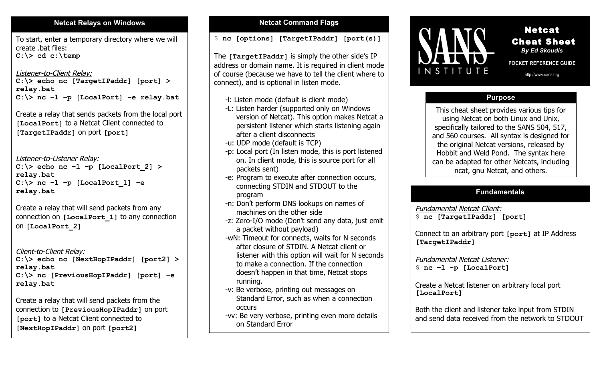# **Netcat Relays on Windows Netcat Command Flags**

To start, enter a temporary directory where we will create .bat files: **C:\> cd c:\temp**

#### Listener-to-Client Relay: **C:\> echo nc [TargetIPaddr] [port] > relay.bat C:\> nc –l –p [LocalPort] –e relay.bat**

Create a relay that sends packets from the local port **[LocalPort]** to a Netcat Client connected to **[TargetIPaddr]** on port **[port]**

Listener-to-Listener Relay:

**C:\> echo nc –l –p [LocalPort\_2] > relay.bat C:\> nc –l –p [LocalPort\_1] –e relay.bat**

Create a relay that will send packets from any connection on **[LocalPort\_1]** to any connection on **[LocalPort\_2]**

Client-to-Client Relay:

**C:\> echo nc [NextHopIPaddr] [port2] > relay.bat C:\> nc [PreviousHopIPaddr] [port] –e relay.bat**

Create a relay that will send packets from the connection to **[PreviousHopIPaddr]** on port **[port]** to a Netcat Client connected to **[NextHopIPaddr]** on port **[port2]**

\$ **nc [options] [TargetIPaddr] [port(s)]**

The **[TargetIPaddr]** is simply the other side's IP address or domain name. It is required in client mode of course (because we have to tell the client where to connect), and is optional in listen mode.

- -l: Listen mode (default is client mode)
- -L: Listen harder (supported only on Windows version of Netcat). This option makes Netcat a persistent listener which starts listening again after a client disconnects
- -u: UDP mode (default is TCP)
- -p: Local port (In listen mode, this is port listened on. In client mode, this is source port for all packets sent)
- -e: Program to execute after connection occurs, connecting STDIN and STDOUT to the program
- -n: Don't perform DNS lookups on names of machines on the other side
- -z: Zero-I/O mode (Don't send any data, just emit a packet without payload)
- -wN: Timeout for connects, waits for N seconds after closure of STDIN. A Netcat client or listener with this option will wait for N seconds to make a connection. If the connection doesn't happen in that time, Netcat stops running.
- -v: Be verbose, printing out messages on Standard Error, such as when a connection occurs
- -vv: Be very verbose, printing even more details on Standard Error



Netcat Cheat Sheet *By Ed Skoudis*

í

**POCKET REFERENCE GUIDE**  http://www.sans.org

# **Purpose**

This cheat sheet provides various tips for using Netcat on both Linux and Unix, specifically tailored to the SANS 504, 517, and 560 courses. All syntax is designed for the original Netcat versions, released by Hobbit and Weld Pond. The syntax here can be adapted for other Netcats, including ncat, gnu Netcat, and others.

# **Fundamentals**

Fundamental Netcat Client: \$ **nc [TargetIPaddr] [port]**

Connect to an arbitrary port **[port]** at IP Address **[TargetIPaddr]**

Fundamental Netcat Listener: \$ **nc –l -p [LocalPort]**

Create a Netcat listener on arbitrary local port **[LocalPort]**

Both the client and listener take input from STDIN and send data received from the network to STDOUT